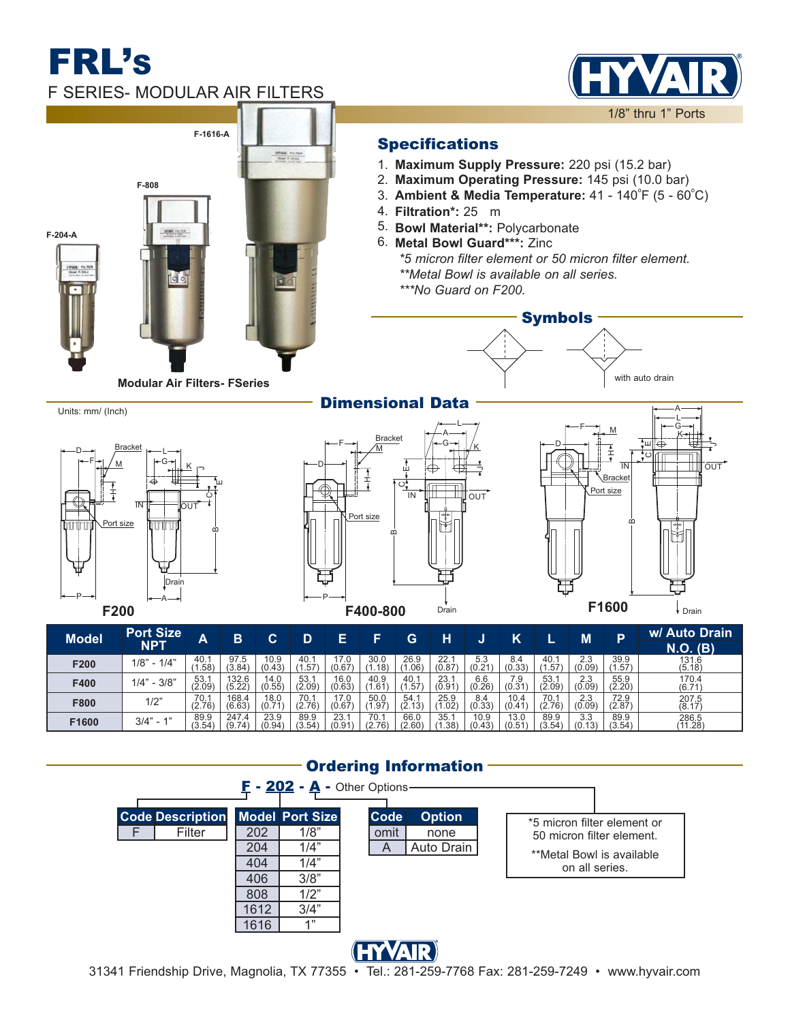## FRL'S F SERIES- MODULAR AIR FILTERS

**F-1616-A**

**HYNK FLTER** 

**F-808**

**F-204-A**

**F1600**

 $3/4" - 1"$ 

89.9 (3.54)

247.4 (9.74)

23.9 (0.94)

89.9 (3.54)

23.1 (0.91)

**Modular Air Filters- FSeries**



## **Specifications**

- **Maximum Supply Pressure:** 220 psi (15.2 bar) 1.
- **Maximum Operating Pressure:** 145 psi (10.0 bar) 2.
- 3. Ambient & Media Temperature:  $41 140^{\circ}F (5 60^{\circ}C)$
- **Filtration\*:** 25 m 4.
- 5. Bowl Material\*\*: Polycarbonate
- **Metal Bowl Guard\*\*\*:** Zinc 6. *\*5 micron filter element or 50 micron filter element.*
	- *\*\*Metal Bowl is available on all series.*
	- *\*\*\*No Guard on F200.*





## Ordering Information

70.1 (2.76)

66.0 (2.60)

35.1 (1.38)

10.9 (0.43)

13.0 (0.51)

89.9 (3.54)

 $\begin{array}{c} 3.3 \\ (0.13) \end{array}$ 

89.9 (3.54)

286.5 (11.28)



31341 Friendship Drive, Magnolia, TX 77355 • Tel.: 281-259-7768 Fax: 281-259-7249 • www.hyvair.com